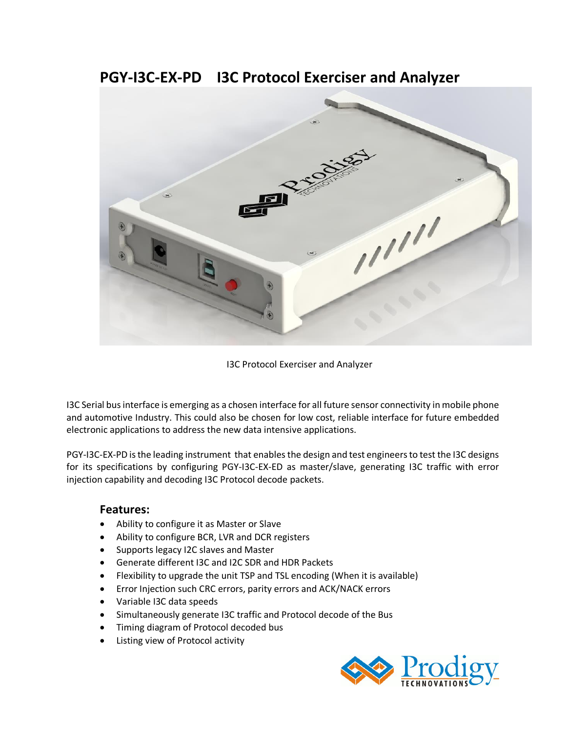## **PGY-I3C-EX-PD I3C Protocol Exerciser and Analyzer**



I3C Protocol Exerciser and Analyzer

I3C Serial bus interface is emerging as a chosen interface for all future sensor connectivity in mobile phone and automotive Industry. This could also be chosen for low cost, reliable interface for future embedded electronic applications to address the new data intensive applications.

PGY-I3C-EX-PD is the leading instrument that enables the design and test engineers to test the I3C designs for its specifications by configuring PGY-I3C-EX-ED as master/slave, generating I3C traffic with error injection capability and decoding I3C Protocol decode packets.

### **Features:**

- Ability to configure it as Master or Slave
- Ability to configure BCR, LVR and DCR registers
- Supports legacy I2C slaves and Master
- Generate different I3C and I2C SDR and HDR Packets
- Flexibility to upgrade the unit TSP and TSL encoding (When it is available)
- Error Injection such CRC errors, parity errors and ACK/NACK errors
- Variable I3C data speeds
- Simultaneously generate I3C traffic and Protocol decode of the Bus
- Timing diagram of Protocol decoded bus
- Listing view of Protocol activity

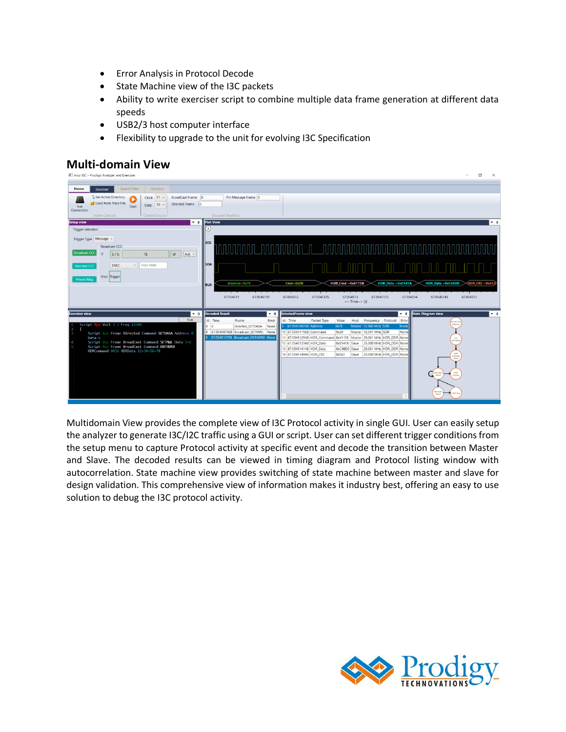- Error Analysis in Protocol Decode
- State Machine view of the I3C packets
- Ability to write exerciser script to combine multiple data frame generation at different data speeds
- USB2/3 host computer interface
- Flexibility to upgrade to the unit for evolving I3C Specification

# **Multi-domain View**



Multidomain View provides the complete view of I3C Protocol activity in single GUI. User can easily setup the analyzer to generate I3C/I2C traffic using a GUI or script. User can set different trigger conditions from the setup menu to capture Protocol activity at specific event and decode the transition between Master and Slave. The decoded results can be viewed in timing diagram and Protocol listing window with autocorrelation. State machine view provides switching of state machine between master and slave for design validation. This comprehensive view of information makes it industry best, offering an easy to use solution to debug the I3C protocol activity.

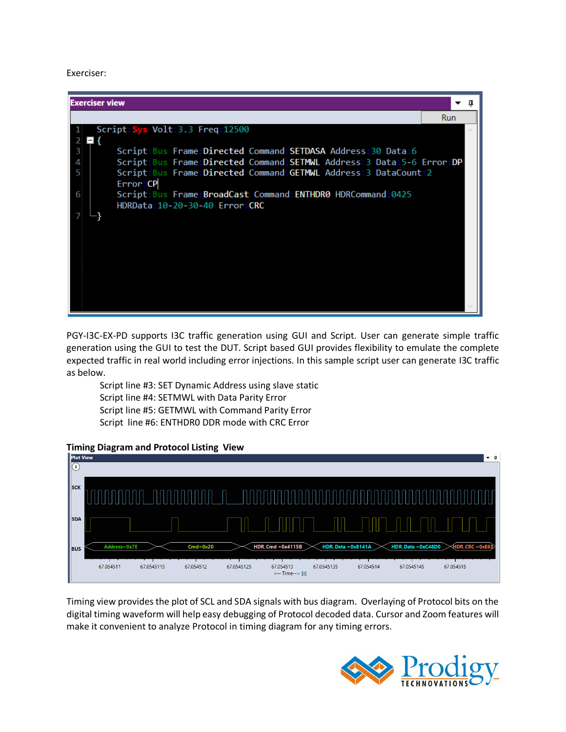#### Exerciser:

| <b>Exerciser view</b>                                                                                                                                                                                                                                                                                                                                  |            |  |
|--------------------------------------------------------------------------------------------------------------------------------------------------------------------------------------------------------------------------------------------------------------------------------------------------------------------------------------------------------|------------|--|
|                                                                                                                                                                                                                                                                                                                                                        | <b>Run</b> |  |
| Script: Sys Volt: 3.3 Freq: 12500                                                                                                                                                                                                                                                                                                                      |            |  |
| Script: Bus Frame: Directed Command: SETDASA Address: 30 Data: 6<br>3<br>Script: Bus Frame: Directed Command: SETMWL Address: 3 Data: 5-6 Error: DP<br>4<br>Script: Bus Frame: Directed Command: GETMWL Address: 3 DataCount: 2<br>Error: CP<br>Script: Bus Frame: BroadCast Command: ENTHDR0 HDRCommand: 0425<br>6<br>HDRData: 10-20-30-40 Error: CRC |            |  |

PGY-I3C-EX-PD supports I3C traffic generation using GUI and Script. User can generate simple traffic generation using the GUI to test the DUT. Script based GUI provides flexibility to emulate the complete expected traffic in real world including error injections. In this sample script user can generate I3C traffic as below.

Script line #3: SET Dynamic Address using slave static Script line #4: SETMWL with Data Parity Error Script line #5: GETMWL with Command Parity Error Script line #6: ENTHDR0 DDR mode with CRC Error

### **Timing Diagram and Protocol Listing View**



Timing view provides the plot of SCL and SDA signals with bus diagram. Overlaying of Protocol bits on the digital timing waveform will help easy debugging of Protocol decoded data. Cursor and Zoom features will make it convenient to analyze Protocol in timing diagram for any timing errors.

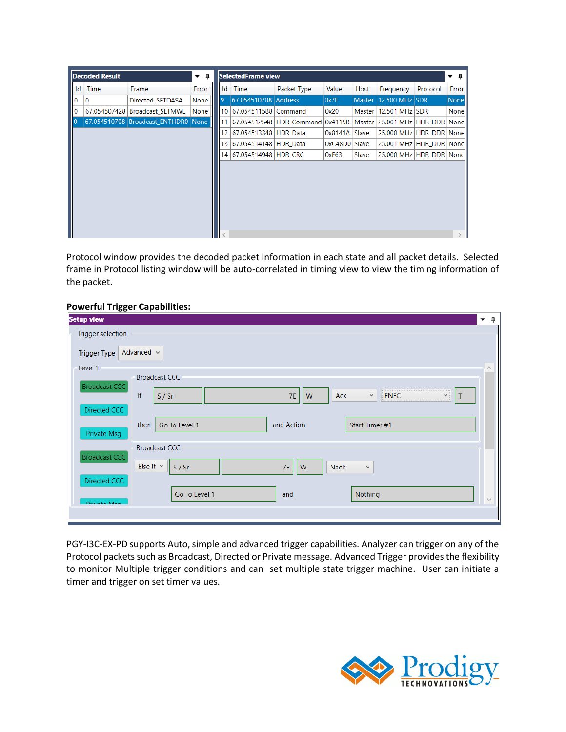| Id<br>Time<br>Error<br>Packet Type<br>Value<br>Frequency<br>Frame<br>ld<br>Host<br>Time<br>67.054510708 Address<br>0x7E<br>Master 12.500 MHz SDR<br>$\mathbf{Q}$<br>None<br>10<br>Directed SETDASA<br>10 67.054511588 Command<br>67.054507428<br><b>Broadcast SETMWL</b><br>None<br>0x20<br>Master 12.501 MHz SDR<br>67.054510708 Broadcast ENTHDR0 None<br>67.054512548 HDR Command 0x4115B   Master 25.001 MHz   HDR DDR   None  <br>11<br>12 <sup>1</sup><br>67.054513348 HDR Data<br>25,000 MHz HDR DDR Nonell<br>0x8141A Slave<br>13 67.054514148 HDR Data<br>0xC48D0 Slave<br>25.001 MHz   HDR DDR   None  <br>14 67.054514948 HDR CRC<br>25,000 MHz HDR DDR None<br>Slave<br>0xE63 | <b>Decoded Result</b> | ▼ Ω | <b>SelectedFrame view</b> |  |  |          | п.<br>– |
|-------------------------------------------------------------------------------------------------------------------------------------------------------------------------------------------------------------------------------------------------------------------------------------------------------------------------------------------------------------------------------------------------------------------------------------------------------------------------------------------------------------------------------------------------------------------------------------------------------------------------------------------------------------------------------------------|-----------------------|-----|---------------------------|--|--|----------|---------|
|                                                                                                                                                                                                                                                                                                                                                                                                                                                                                                                                                                                                                                                                                           |                       |     |                           |  |  | Protocol | Error   |
|                                                                                                                                                                                                                                                                                                                                                                                                                                                                                                                                                                                                                                                                                           |                       |     |                           |  |  |          | None    |
|                                                                                                                                                                                                                                                                                                                                                                                                                                                                                                                                                                                                                                                                                           |                       |     |                           |  |  |          | Nonel   |
|                                                                                                                                                                                                                                                                                                                                                                                                                                                                                                                                                                                                                                                                                           |                       |     |                           |  |  |          |         |
|                                                                                                                                                                                                                                                                                                                                                                                                                                                                                                                                                                                                                                                                                           |                       |     |                           |  |  |          |         |
|                                                                                                                                                                                                                                                                                                                                                                                                                                                                                                                                                                                                                                                                                           |                       |     |                           |  |  |          |         |
|                                                                                                                                                                                                                                                                                                                                                                                                                                                                                                                                                                                                                                                                                           |                       |     |                           |  |  |          |         |
|                                                                                                                                                                                                                                                                                                                                                                                                                                                                                                                                                                                                                                                                                           |                       |     |                           |  |  |          |         |

Protocol window provides the decoded packet information in each state and all packet details. Selected frame in Protocol listing window will be auto-correlated in timing view to view the timing information of the packet.

### **Powerful Trigger Capabilities:**

| <b>Setup view</b><br>▼ ¤                                                                            |  |
|-----------------------------------------------------------------------------------------------------|--|
| Trigger selection                                                                                   |  |
| Advanced v<br>Trigger Type                                                                          |  |
| Level 1<br>$\curvearrowright$<br><b>Broadcast CCC</b>                                               |  |
| <b>Broadcast CCC</b><br>If<br>Ack<br>7E<br>ENEC<br>S / Sr<br>W<br>$\checkmark$<br>T<br>$\checkmark$ |  |
| Directed CCC                                                                                        |  |
| Go To Level 1<br>and Action<br>then<br>Start Timer #1<br>Private Msg                                |  |
| <b>Broadcast CCC</b>                                                                                |  |
| <b>Broadcast CCC</b><br>Else If $\vee$<br>S / Sr<br><b>7E</b><br>W<br><b>Nack</b><br>v              |  |
| Directed CCC                                                                                        |  |
| Go To Level 1<br>Nothing<br>and<br>Delivery Mary                                                    |  |
|                                                                                                     |  |

PGY-I3C-EX-PD supports Auto, simple and advanced trigger capabilities. Analyzer can trigger on any of the Protocol packets such as Broadcast, Directed or Private message. Advanced Trigger provides the flexibility to monitor Multiple trigger conditions and can set multiple state trigger machine. User can initiate a timer and trigger on set timer values.

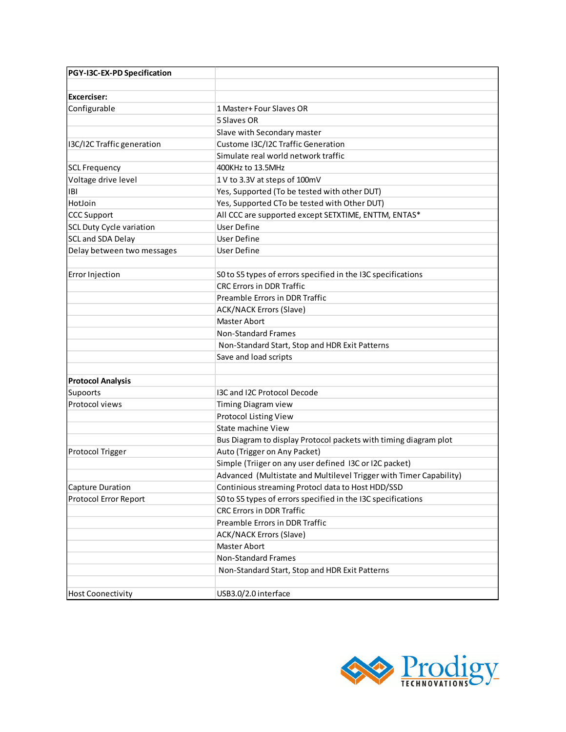| PGY-I3C-EX-PD Specification     |                                                                    |
|---------------------------------|--------------------------------------------------------------------|
| Excerciser:                     |                                                                    |
| Configurable                    | 1 Master+ Four Slaves OR                                           |
|                                 | 5 Slaves OR                                                        |
|                                 | Slave with Secondary master                                        |
| I3C/I2C Traffic generation      | Custome I3C/I2C Traffic Generation                                 |
|                                 | Simulate real world network traffic                                |
| <b>SCL Frequency</b>            | 400KHz to 13.5MHz                                                  |
| Voltage drive level             | 1 V to 3.3V at steps of 100mV                                      |
| IBI                             | Yes, Supported (To be tested with other DUT)                       |
| HotJoin                         | Yes, Supported CTo be tested with Other DUT)                       |
| <b>CCC Support</b>              | All CCC are supported except SETXTIME, ENTTM, ENTAS*               |
| <b>SCL Duty Cycle variation</b> | <b>User Define</b>                                                 |
| <b>SCL and SDA Delay</b>        | User Define                                                        |
| Delay between two messages      | <b>User Define</b>                                                 |
|                                 |                                                                    |
| Error Injection                 | S0 to S5 types of errors specified in the I3C specifications       |
|                                 | <b>CRC Errors in DDR Traffic</b>                                   |
|                                 | Preamble Errors in DDR Traffic                                     |
|                                 | <b>ACK/NACK Errors (Slave)</b>                                     |
|                                 | <b>Master Abort</b>                                                |
|                                 | <b>Non-Standard Frames</b>                                         |
|                                 | Non-Standard Start, Stop and HDR Exit Patterns                     |
|                                 | Save and load scripts                                              |
|                                 |                                                                    |
| <b>Protocol Analysis</b>        |                                                                    |
| Supoorts                        | I3C and I2C Protocol Decode                                        |
| Protocol views                  | <b>Timing Diagram view</b>                                         |
|                                 | Protocol Listing View                                              |
|                                 | State machine View                                                 |
|                                 | Bus Diagram to display Protocol packets with timing diagram plot   |
| <b>Protocol Trigger</b>         | Auto (Trigger on Any Packet)                                       |
|                                 | Simple (Triiger on any user defined I3C or I2C packet)             |
|                                 | Advanced (Multistate and Multilevel Trigger with Timer Capability) |
| Capture Duration                | Continious streaming Protocl data to Host HDD/SSD                  |
| Protocol Error Report           | S0 to S5 types of errors specified in the I3C specifications       |
|                                 | <b>CRC Errors in DDR Traffic</b>                                   |
|                                 | Preamble Errors in DDR Traffic                                     |
|                                 | <b>ACK/NACK Errors (Slave)</b>                                     |
|                                 | Master Abort                                                       |
|                                 | <b>Non-Standard Frames</b>                                         |
|                                 | Non-Standard Start, Stop and HDR Exit Patterns                     |
|                                 |                                                                    |
| <b>Host Coonectivity</b>        | USB3.0/2.0 interface                                               |